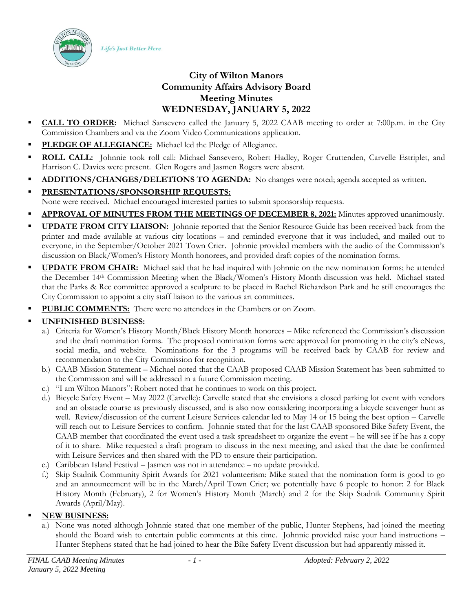Life's Just Better Here



- **CALL TO ORDER:** Michael Sansevero called the January 5, 2022 CAAB meeting to order at 7:00p.m. in the City Commission Chambers and via the Zoom Video Communications application.
- **PLEDGE OF ALLEGIANCE:** Michael led the Pledge of Allegiance.
- ROLL CALL: Johnnie took roll call: Michael Sansevero, Robert Hadley, Roger Cruttenden, Carvelle Estriplet, and Harrison C. Davies were present. Glen Rogers and Jasmen Rogers were absent.
- **ADDITIONS/CHANGES/DELETIONS TO AGENDA:** No changes were noted; agenda accepted as written.
- **PRESENTATIONS/SPONSORSHIP REQUESTS:** None were received. Michael encouraged interested parties to submit sponsorship requests.
- **APPROVAL OF MINUTES FROM THE MEETINGS OF DECEMBER 8, 2021:** Minutes approved unanimously.
- **UPDATE FROM CITY LIAISON:** Johnnie reported that the Senior Resource Guide has been received back from the printer and made available at various city locations – and reminded everyone that it was included, and mailed out to everyone, in the September/October 2021 Town Crier. Johnnie provided members with the audio of the Commission's discussion on Black/Women's History Month honorees, and provided draft copies of the nomination forms.
- **UPDATE FROM CHAIR:** Michael said that he had inquired with Johnnie on the new nomination forms; he attended the December 14th Commission Meeting when the Black/Women's History Month discussion was held. Michael stated that the Parks & Rec committee approved a sculpture to be placed in Rachel Richardson Park and he still encourages the City Commission to appoint a city staff liaison to the various art committees.
- **PUBLIC COMMENTS:** There were no attendees in the Chambers or on Zoom.

## ▪ **UNFINISHED BUSINESS:**

- a.) Criteria for Women's History Month/Black History Month honorees Mike referenced the Commission's discussion and the draft nomination forms. The proposed nomination forms were approved for promoting in the city's eNews, social media, and website. Nominations for the 3 programs will be received back by CAAB for review and recommendation to the City Commission for recognition.
- b.) CAAB Mission Statement Michael noted that the CAAB proposed CAAB Mission Statement has been submitted to the Commission and will be addressed in a future Commission meeting.
- c.) "I am Wilton Manors": Robert noted that he continues to work on this project.
- d.) Bicycle Safety Event May 2022 (Carvelle): Carvelle stated that she envisions a closed parking lot event with vendors and an obstacle course as previously discussed, and is also now considering incorporating a bicycle scavenger hunt as well. Review/discussion of the current Leisure Services calendar led to May 14 or 15 being the best option – Carvelle will reach out to Leisure Services to confirm. Johnnie stated that for the last CAAB sponsored Bike Safety Event, the CAAB member that coordinated the event used a task spreadsheet to organize the event – he will see if he has a copy of it to share. Mike requested a draft program to discuss in the next meeting, and asked that the date be confirmed with Leisure Services and then shared with the PD to ensure their participation.
- e.) Caribbean Island Festival Jasmen was not in attendance no update provided.
- f.) Skip Stadnik Community Spirit Awards for 2021 volunteerism: Mike stated that the nomination form is good to go and an announcement will be in the March/April Town Crier; we potentially have 6 people to honor: 2 for Black History Month (February), 2 for Women's History Month (March) and 2 for the Skip Stadnik Community Spirit Awards (April/May).

## **NEW BUSINESS:**

a.) None was noted although Johnnie stated that one member of the public, Hunter Stephens, had joined the meeting should the Board wish to entertain public comments at this time. Johnnie provided raise your hand instructions – Hunter Stephens stated that he had joined to hear the Bike Safety Event discussion but had apparently missed it.